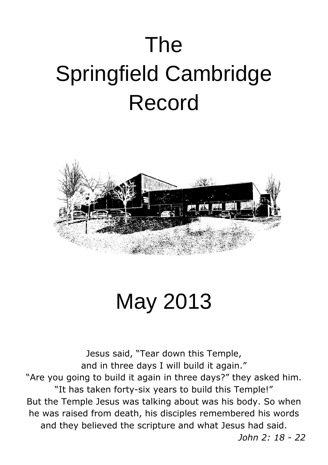# The Springfield Cambridge Record



May 2013

Jesus said, "Tear down this Temple, and in three days I will build it again." "Are you going to build it again in three days?" they asked him. "It has taken forty-six years to build this Temple!" But the Temple Jesus was talking about was his body. So when he was raised from death, his disciples remembered his words and they believed the scripture and what Jesus had said.  *John 2: 18 - 22*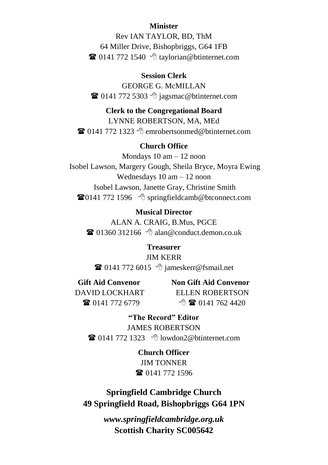#### **Minister**

Rev IAN TAYLOR, BD, ThM 64 Miller Drive, Bishopbriggs, G64 1FB  $\mathbf{\widehat{a}}$  0141 772 1540  $\Diamond$  [taylorian@btinternet.com](mailto:taylorian@btinternet.com)

#### **Session Clerk**

GEORGE G. McMILLAN  $\bullet$  0141 772 5303  $\circ$  jagsmac@btinternet.com

#### **Clerk to the Congregational Board**

LYNNE ROBERTSON, MA, MEd  $\mathbf{\widehat{a}}$  0141 772 1323  $\Diamond$  emrobertsonmed@btinternet.com

#### **Church Office**

Mondays 10 am – 12 noon Isobel Lawson, Margery Gough, Sheila Bryce, Moyra Ewing Wednesdays 10 am – 12 noon Isobel Lawson, Janette Gray, Christine Smith  $\mathbf{\widehat{a}}$ 0141 772 1596  $\Diamond$  [springfieldcamb@btconnect.com](mailto:springfieldcamb@btconnect.com)

#### **Musical Director**

ALAN A. CRAIG, B.Mus, PGCE  $\mathbf{\widehat{a}}$  01360 312166  $\Diamond$  alan@conduct.demon.co.uk

#### **Treasurer** JIM KERR

 $\bullet$  0141 772 6015  $\circ$  [jameskerr@fsmail.net](mailto:jameskerr@fsmail.net)

**Gift Aid Convenor** Non Gift Aid Convenor DAVID LOCKHART ELLEN ROBERTSON 0141 772 6779 0141 762 4420

**"The Record" Editor** JAMES ROBERTSON  $\mathbf{\widehat{a}}$  0141 772 1323  $\Diamond$  [lowdon2@btinternet.com](mailto:lowdon2@btinternet.com)

> **Church Officer** JIM TONNER **■ 0141 772 1596**

#### **Springfield Cambridge Church 49 Springfield Road, Bishopbriggs G64 1PN**

*www.springfieldcambridge.org.uk* **Scottish Charity SC005642**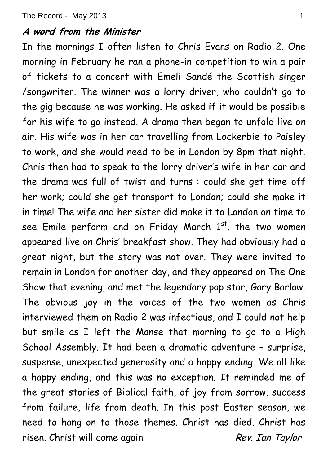#### **A word from the Minister**

In the mornings I often listen to Chris Evans on Radio 2. One morning in February he ran a phone-in competition to win a pair of tickets to a concert with Emeli Sandé the Scottish singer /songwriter. The winner was a lorry driver, who couldn't go to the gig because he was working. He asked if it would be possible for his wife to go instead. A drama then began to unfold live on air. His wife was in her car travelling from Lockerbie to Paisley to work, and she would need to be in London by 8pm that night. Chris then had to speak to the lorry driver's wife in her car and the drama was full of twist and turns : could she get time off her work; could she get transport to London; could she make it in time! The wife and her sister did make it to London on time to see Emile perform and on Friday March  $1<sup>st</sup>$ . the two women appeared live on Chris' breakfast show. They had obviously had a great night, but the story was not over. They were invited to remain in London for another day, and they appeared on The One Show that evening, and met the legendary pop star, Gary Barlow. The obvious joy in the voices of the two women as Chris interviewed them on Radio 2 was infectious, and I could not help but smile as I left the Manse that morning to go to a High School Assembly. It had been a dramatic adventure – surprise, suspense, unexpected generosity and a happy ending. We all like a happy ending, and this was no exception. It reminded me of the great stories of Biblical faith, of joy from sorrow, success from failure, life from death. In this post Easter season, we need to hang on to those themes. Christ has died. Christ has risen. Christ will come again! Rev. Ian Taylor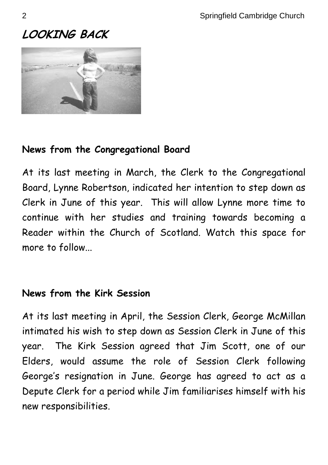# **LOOKING BACK**



## **News from the Congregational Board**

At its last meeting in March, the Clerk to the Congregational Board, Lynne Robertson, indicated her intention to step down as Clerk in June of this year. This will allow Lynne more time to continue with her studies and training towards becoming a Reader within the Church of Scotland. Watch this space for more to follow...

## **News from the Kirk Session**

At its last meeting in April, the Session Clerk, George McMillan intimated his wish to step down as Session Clerk in June of this year. The Kirk Session agreed that Jim Scott, one of our Elders, would assume the role of Session Clerk following George's resignation in June. George has agreed to act as a Depute Clerk for a period while Jim familiarises himself with his new responsibilities.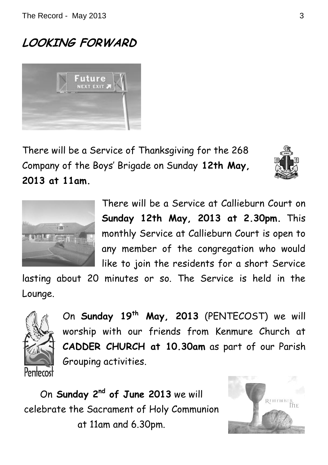# **LOOKING FORWARD**



There will be a Service of Thanksgiving for the 268 Company of the Boys' Brigade on Sunday **12th May, 2013 at 11am.**





There will be a Service at Callieburn Court on **Sunday 12th May, 2013 at 2.30pm.** This monthly Service at Callieburn Court is open to any member of the congregation who would like to join the residents for a short Service

lasting about 20 minutes or so. The Service is held in the Lounge.



On **Sunday 19th May, 2013** (PENTECOST) we will worship with our friends from Kenmure Church at **CADDER CHURCH at 10.30am** as part of our Parish Grouping activities.

On **Sunday 2nd of June 2013** we will celebrate the Sacrament of Holy Communion at 11am and 6.30pm.

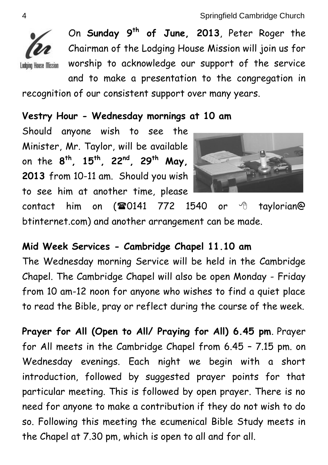

On **Sunday 9th of June, 2013**, Peter Roger the Chairman of the Lodging House Mission will join us for worship to acknowledge our support of the service and to make a presentation to the congregation in recognition of our consistent support over many years.

## **Vestry Hour - Wednesday mornings at 10 am**

Should anyone wish to see the Minister, Mr. Taylor, will be available on the **8 th, 15th, 22nd, 29th May, 2013** from 10-11 am. Should you wish to see him at another time, please



contact him on  $(\text{20141} \quad 772 \quad 1540$  or  $\oplus$  taylorian@ btinternet.com) and another arrangement can be made.

## **Mid Week Services - Cambridge Chapel 11.10 am**

The Wednesday morning Service will be held in the Cambridge Chapel. The Cambridge Chapel will also be open Monday - Friday from 10 am-12 noon for anyone who wishes to find a quiet place to read the Bible, pray or reflect during the course of the week.

**Prayer for All (Open to All/ Praying for All) 6.45 pm**. Prayer for All meets in the Cambridge Chapel from 6.45 – 7.15 pm. on Wednesday evenings. Each night we begin with a short introduction, followed by suggested prayer points for that particular meeting. This is followed by open prayer. There is no need for anyone to make a contribution if they do not wish to do so. Following this meeting the ecumenical Bible Study meets in the Chapel at 7.30 pm, which is open to all and for all.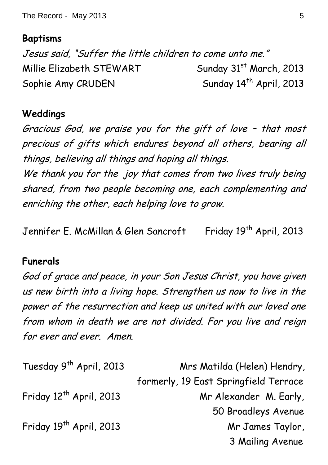The Record - May 2013 5

#### **Baptisms**

Jesus said, "Suffer the little children to come unto me." Millie Elizabeth STEWART Sunday 31<sup>st</sup> March, 2013 Sophie Amy CRUDEN Sunday 14<sup>th</sup> April, 2013

#### **Weddings**

Gracious God, we praise you for the gift of love – that most precious of gifts which endures beyond all others, bearing all things, believing all things and hoping all things.

We thank you for the joy that comes from two lives truly being shared, from two people becoming one, each complementing and enriching the other, each helping love to grow.

Jennifer E. McMillan & Glen Sancroft Friday 19<sup>th</sup> April, 2013

#### **Funerals**

God of grace and peace, in your Son Jesus Christ, you have given us new birth into a living hope. Strengthen us now to live in the power of the resurrection and keep us united with our loved one from whom in death we are not divided. For you live and reign for ever and ever. Amen.

| Tuesday 9 <sup>th</sup> April, 2013 | Mrs Matilda (Helen) Hendry,           |  |
|-------------------------------------|---------------------------------------|--|
|                                     | formerly, 19 East Springfield Terrace |  |
| Friday 12 <sup>th</sup> April, 2013 | Mr Alexander M. Early,                |  |
|                                     | 50 Broadleys Avenue                   |  |
| Friday 19 <sup>th</sup> April, 2013 | Mr James Taylor,                      |  |
|                                     | 3 Mailing Avenue                      |  |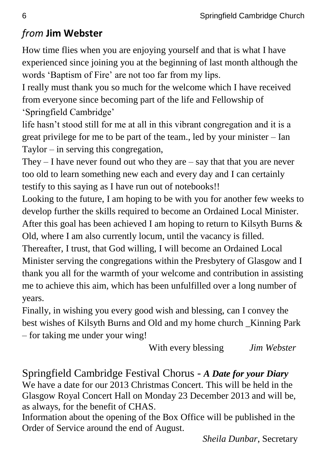# *from* **Jim Webster**

How time flies when you are enjoying yourself and that is what I have experienced since joining you at the beginning of last month although the words 'Baptism of Fire' are not too far from my lips.

I really must thank you so much for the welcome which I have received from everyone since becoming part of the life and Fellowship of 'Springfield Cambridge'

life hasn't stood still for me at all in this vibrant congregation and it is a great privilege for me to be part of the team., led by your minister – Ian Taylor – in serving this congregation,

They  $-$  I have never found out who they are  $-$  say that that you are never too old to learn something new each and every day and I can certainly testify to this saying as I have run out of notebooks!!

Looking to the future, I am hoping to be with you for another few weeks to develop further the skills required to become an Ordained Local Minister. After this goal has been achieved I am hoping to return to Kilsyth Burns & Old, where I am also currently locum, until the vacancy is filled.

Thereafter, I trust, that God willing, I will become an Ordained Local Minister serving the congregations within the Presbytery of Glasgow and I thank you all for the warmth of your welcome and contribution in assisting me to achieve this aim, which has been unfulfilled over a long number of years.

Finally, in wishing you every good wish and blessing, can I convey the best wishes of Kilsyth Burns and Old and my home church \_Kinning Park – for taking me under your wing!

With every blessing *Jim Webster*

Springfield Cambridge Festival Chorus - *A Date for your Diary* We have a date for our 2013 Christmas Concert. This will be held in the Glasgow Royal Concert Hall on Monday 23 December 2013 and will be, as always, for the benefit of CHAS.

Information about the opening of the Box Office will be published in the Order of Service around the end of August.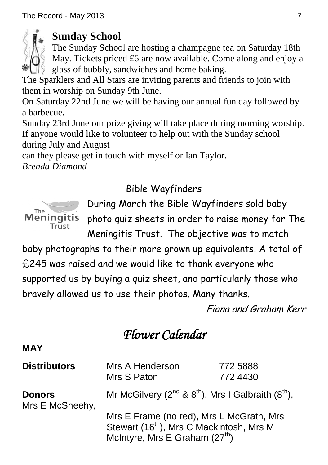

## **Sunday School**

The Sunday School are hosting a champagne tea on Saturday 18th May. Tickets priced £6 are now available. Come along and enjoy a glass of bubbly, sandwiches and home baking.

The Sparklers and All Stars are inviting parents and friends to join with them in worship on Sunday 9th June.

On Saturday 22nd June we will be having our annual fun day followed by a barbecue.

Sunday 23rd June our prize giving will take place during morning worship. If anyone would like to volunteer to help out with the Sunday school during July and August

can they please get in touch with myself or Ian Taylor.

*Brenda Diamond*

## Bible Wayfinders



During March the Bible Wayfinders sold baby photo quiz sheets in order to raise money for The Meningitis Trust. The objective was to match

baby photographs to their more grown up equivalents. A total of £245 was raised and we would like to thank everyone who supported us by buying a quiz sheet, and particularly those who bravely allowed us to use their photos. Many thanks.

Fiona and Graham Kerr

# *Flower Calendar*

## **MAY**

| <b>Distributors</b>              | Mrs A Henderson<br>Mrs S Paton                                                                                                                                                                                      | 772 5888<br>772 4430 |
|----------------------------------|---------------------------------------------------------------------------------------------------------------------------------------------------------------------------------------------------------------------|----------------------|
| <b>Donors</b><br>Mrs E McSheehy, | Mr McGilvery $(2^{nd}$ & $8^{th})$ , Mrs I Galbraith $(8^{th})$ ,<br>Mrs E Frame (no red), Mrs L McGrath, Mrs<br>Stewart (16 <sup>th</sup> ), Mrs C Mackintosh, Mrs M<br>McIntyre, Mrs E Graham (27 <sup>th</sup> ) |                      |
|                                  |                                                                                                                                                                                                                     |                      |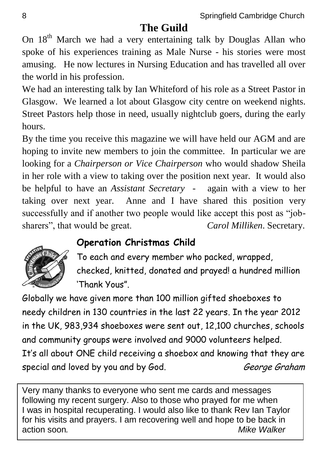## **The Guild**

On 18<sup>th</sup> March we had a very entertaining talk by Douglas Allan who spoke of his experiences training as Male Nurse - his stories were most amusing. He now lectures in Nursing Education and has travelled all over the world in his profession.

We had an interesting talk by Ian Whiteford of his role as a Street Pastor in Glasgow. We learned a lot about Glasgow city centre on weekend nights. Street Pastors help those in need, usually nightclub goers, during the early hours.

By the time you receive this magazine we will have held our AGM and are hoping to invite new members to join the committee. In particular we are looking for a *Chairperson or Vice Chairperson* who would shadow Sheila in her role with a view to taking over the position next year. It would also be helpful to have an *Assistant Secretary* - again with a view to her taking over next year. Anne and I have shared this position very successfully and if another two people would like accept this post as "jobsharers", that would be great. *Carol Milliken*. Secretary.

## **Operation Christmas Child**



To each and every member who packed, wrapped, checked, knitted, donated and prayed! a hundred million 'Thank Yous".

Globally we have given more than 100 million gifted shoeboxes to needy children in 130 countries in the last 22 years. In the year 2012 in the UK, 983,934 shoeboxes were sent out, 12,100 churches, schools and community groups were involved and 9000 volunteers helped. It's all about ONE child receiving a shoebox and knowing that they are special and loved by you and by God. George Graham

Very many thanks to everyone who sent me cards and messages following my recent surgery. Also to those who prayed for me when I was in hospital recuperating. I would also like to thank Rev Ian Taylor for his visits and prayers. I am recovering well and hope to be back in action soon*. Mike Walker*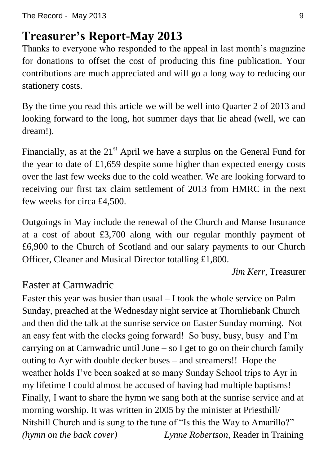# **Treasurer's Report-May 2013**

Thanks to everyone who responded to the appeal in last month's magazine for donations to offset the cost of producing this fine publication. Your contributions are much appreciated and will go a long way to reducing our stationery costs.

By the time you read this article we will be well into Quarter 2 of 2013 and looking forward to the long, hot summer days that lie ahead (well, we can dream!).

Financially, as at the  $21<sup>st</sup>$  April we have a surplus on the General Fund for the year to date of £1,659 despite some higher than expected energy costs over the last few weeks due to the cold weather. We are looking forward to receiving our first tax claim settlement of 2013 from HMRC in the next few weeks for circa £4,500.

Outgoings in May include the renewal of the Church and Manse Insurance at a cost of about £3,700 along with our regular monthly payment of £6,900 to the Church of Scotland and our salary payments to our Church Officer, Cleaner and Musical Director totalling £1,800.

*Jim Kerr*, Treasurer

# Easter at Carnwadric

Easter this year was busier than usual – I took the whole service on Palm Sunday, preached at the Wednesday night service at Thornliebank Church and then did the talk at the sunrise service on Easter Sunday morning. Not an easy feat with the clocks going forward! So busy, busy, busy and I'm carrying on at Carnwadric until June – so I get to go on their church family outing to Ayr with double decker buses – and streamers!! Hope the weather holds I've been soaked at so many Sunday School trips to Ayr in my lifetime I could almost be accused of having had multiple baptisms! Finally, I want to share the hymn we sang both at the sunrise service and at morning worship. It was written in 2005 by the minister at Priesthill/ Nitshill Church and is sung to the tune of "Is this the Way to Amarillo?" *(hymn on the back cover) Lynne Robertson,* Reader in Training